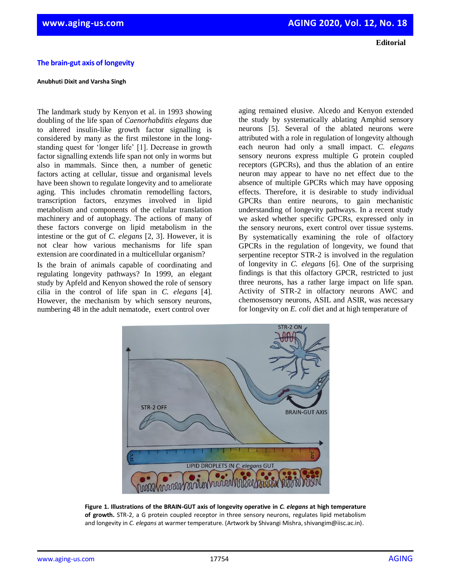## **The brain-gut axis of longevity**

## **Anubhuti Dixit and Varsha Singh**

The landmark study by Kenyon et al. in 1993 showing doubling of the life span of *Caenorhabditis elegans* due to altered insulin-like growth factor signalling is considered by many as the first milestone in the longstanding quest for 'longer life' [1]. Decrease in growth factor signalling extends life span not only in worms but also in mammals. Since then, a number of genetic factors acting at cellular, tissue and organismal levels have been shown to regulate longevity and to ameliorate aging. This includes chromatin remodelling factors, transcription factors, enzymes involved in lipid metabolism and components of the cellular translation machinery and of autophagy. The actions of many of these factors converge on lipid metabolism in the intestine or the gut of *C. elegans* [2, 3]. However, it is not clear how various mechanisms for life span extension are coordinated in a multicellular organism?

Is the brain of animals capable of coordinating and regulating longevity pathways? In 1999, an elegant study by Apfeld and Kenyon showed the role of sensory cilia in the control of life span in *C. elegans* [4]*.*  However, the mechanism by which sensory neurons, numbering 48 in the adult nematode, exert control over

STR-2 OFF

aging remained elusive. Alcedo and Kenyon extended the study by systematically ablating Amphid sensory neurons [5]. Several of the ablated neurons were attributed with a role in regulation of longevity although each neuron had only a small impact. *C. elegans* sensory neurons express multiple G protein coupled receptors (GPCRs), and thus the ablation of an entire neuron may appear to have no net effect due to the absence of multiple GPCRs which may have opposing effects. Therefore, it is desirable to study individual GPCRs than entire neurons, to gain mechanistic understanding of longevity pathways. In a recent study we asked whether specific GPCRs, expressed only in the sensory neurons, exert control over tissue systems. By systematically examining the role of olfactory GPCRs in the regulation of longevity, we found that serpentine receptor STR-2 is involved in the regulation of longevity in *C. elegans* [6]. One of the surprising findings is that this olfactory GPCR, restricted to just three neurons, has a rather large impact on life span. Activity of STR-2 in olfactory neurons AWC and chemosensory neurons, ASIL and ASIR, was necessary for longevity on *E. coli* diet and at high temperature of

**BRAIN-GUT AXIS** 



**of growth.** STR-2, a G protein coupled receptor in three sensory neurons, regulates lipid metabolism and longevity in *C. elegans* at warmer temperature. (Artwork by Shivangi Mishra, shivangim@iisc.ac.in).